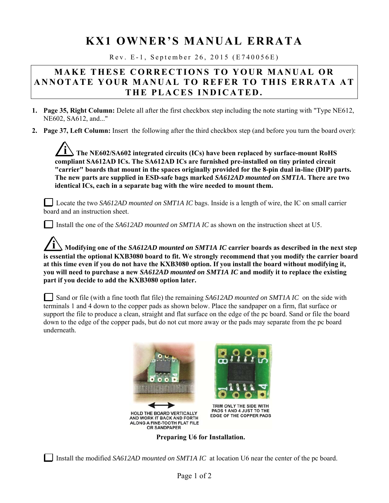## **KX1 OWNER'S MANUAL ERRATA**

Rev. E-1, September 26, 2015 (E740056E)

## **MAKE THESE CORRECTIONS TO YOUR MANUAL OR ANNOTATE YOUR MANUAL TO REFER TO THIS ERRATA AT THE PLACES INDICATED.**

- **1. Page 35, Right Column:** Delete all after the first checkbox step including the note starting with "Type NE612, NE602, SA612, and..."
- **2. Page 37, Left Column:** Insert the following after the third checkbox step (and before you turn the board over):

**i The NE602/SA602 integrated circuits (ICs) have been replaced by surface-mount RoHS compliant SA612AD ICs. The SA612AD ICs are furnished pre-installed on tiny printed circuit "carrier" boards that mount in the spaces originally provided for the 8-pin dual in-line (DIP) parts. The new parts are supplied in ESD-safe bags marked** *SA612AD mounted on SMT1A***. There are two identical ICs, each in a separate bag with the wire needed to mount them.** 

Locate the two *SA612AD mounted on SMT1A IC* bags. Inside is a length of wire, the IC on small carrier board and an instruction sheet.

Install the one of the *SA612AD mounted on SMT1A IC* as shown on the instruction sheet at U5.

**i Modifying one of the** *SA612AD mounted on SMT1A IC* **carrier boards as described in the next step is essential the optional KXB3080 board to fit. We strongly recommend that you modify the carrier board at this time even if you do not have the KXB3080 option. If you install the board without modifying it, you will need to purchase a new** *SA612AD mounted on SMT1A IC* **and modify it to replace the existing part if you decide to add the KXB3080 option later.**

Sand or file (with a fine tooth flat file) the remaining *SA612AD mounted on SMT1A IC* on the side with terminals 1 and 4 down to the copper pads as shown below. Place the sandpaper on a firm, flat surface or support the file to produce a clean, straight and flat surface on the edge of the pc board. Sand or file the board down to the edge of the copper pads, but do not cut more away or the pads may separate from the pc board underneath.



**Preparing U6 for Installation.** 

Install the modified *SA612AD mounted on SMT1A IC* at location U6 near the center of the pc board.